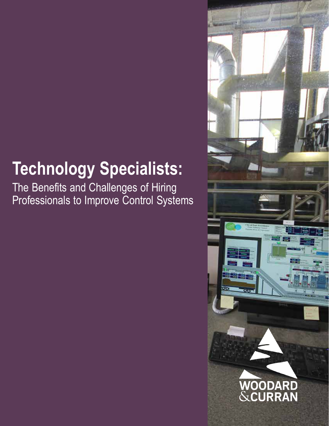# **Technology Specialists:**

The Benefits and Challenges of Hiring Professionals to Improve Control Systems

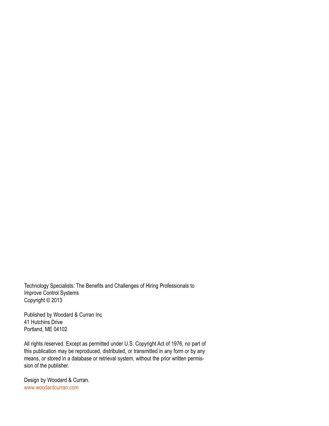Technology Specialists: The Benefits and Challenges of Hiring Professionals to Improve Control Systems Copyright © 2013

Published by Woodard & Curran Inc 41 Hutchins Drive Portland, ME 04102

All rights reserved. Except as permitted under U.S. Copyright Act of 1976, no part of this publication may be reproduced, distributed, or transmitted in any form or by any means, or stored in a database or retrieval system, without the prior written permission of the publisher.

Design by Woodard & Curran. www.woodardcurran.com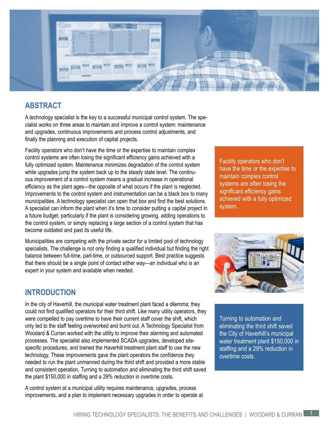

## **ABSTRACT**

A technology specialist is the key to a successful municipal control system. The specialist works on three areas to maintain and improve a control system: maintenance and upgrades, continuous improvements and process control adjustments, and finally the planning and execution of capital projects.

Facility operators who don't have the time or the expertise to maintain complex control systems are often losing the significant efficiency gains achieved with a fully optimized system. Maintenance minimizes degradation of the control system while upgrades jump the system back up to the steady state level. The continuous improvement of a control system means a gradual increase in operational efficiency as the plant ages—the opposite of what occurs if the plant is neglected. Improvements to the control system and instrumentation can be a black box to many municipalities. A technology specialist can open that box and find the best solutions. A specialist can inform the plant when it's time to consider putting a capital project in a future budget, particularly if the plant is considering growing, adding operations to the control system, or simply replacing a large section of a control system that has become outdated and past its useful life.

Municipalities are competing with the private sector for a limited pool of technology specialists. The challenge is not only finding a qualified individual but finding the right balance between full-time, part-time, or outsourced support. Best practice suggests that there should be a single point of contact either way—an individual who is an expert in your system and available when needed.

## **INTRODUCTION**

In the city of Haverhill, the municipal water treatment plant faced a dilemma; they could not find qualified operators for their third shift. Like many utility operators, they were compelled to pay overtime to have their current staff cover the shift, which only led to the staff feeling overworked and burnt out. A Technology Specialist from Woodard & Curran worked with the utility to improve their alarming and automated processes. The specialist also implemented SCADA upgrades, developed sitespecific procedures, and trained the Haverhill treatment plant staff to use the new technology. These improvements gave the plant operators the confidence they needed to run the plant unmanned during the third shift and provided a more stable and consistent operation. Turning to automation and eliminating the third shift saved the plant \$150,000 in staffing and a 29% reduction in overtime costs.

A control system at a municipal utility requires maintenance, upgrades, process improvements, and a plan to implement necessary upgrades in order to operate at Facility operators who don't have the time or the expertise to maintain complex control systems are often losing the significant efficiency gains achieved with a fully optimized system.



Turning to automation and eliminating the third shift saved the City of Haverhill's municipal water treatment plant \$150,000 in staffing and a 29% reduction in overtime costs.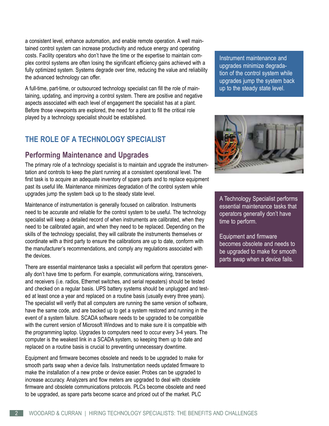a consistent level, enhance automation, and enable remote operation. A well maintained control system can increase productivity and reduce energy and operating costs. Facility operators who don't have the time or the expertise to maintain complex control systems are often losing the significant efficiency gains achieved with a fully optimized system. Systems degrade over time, reducing the value and reliability the advanced technology can offer.

A full-time, part-time, or outsourced technology specialist can fill the role of maintaining, updating, and improving a control system. There are positive and negative aspects associated with each level of engagement the specialist has at a plant. Before those viewpoints are explored, the need for a plant to fill the critical role played by a technology specialist should be established.

# **THE ROLE OF A TECHNOLOGY SPECIALIST**

# **Performing Maintenance and Upgrades**

The primary role of a technology specialist is to maintain and upgrade the instrumentation and controls to keep the plant running at a consistent operational level. The first task is to acquire an adequate inventory of spare parts and to replace equipment past its useful life. Maintenance minimizes degradation of the control system while upgrades jump the system back up to the steady state level.

Maintenance of instrumentation is generally focused on calibration. Instruments need to be accurate and reliable for the control system to be useful. The technology specialist will keep a detailed record of when instruments are calibrated, when they need to be calibrated again, and when they need to be replaced. Depending on the skills of the technology specialist, they will calibrate the instruments themselves or coordinate with a third party to ensure the calibrations are up to date, conform with the manufacturer's recommendations, and comply any regulations associated with the devices.

There are essential maintenance tasks a specialist will perform that operators generally don't have time to perform. For example, communications wiring, transceivers, and receivers (i.e. radios, Ethernet switches, and serial repeaters) should be tested and checked on a regular basis. UPS battery systems should be unplugged and tested at least once a year and replaced on a routine basis (usually every three years). The specialist will verify that all computers are running the same version of software, have the same code, and are backed up to get a system restored and running in the event of a system failure. SCADA software needs to be upgraded to be compatible with the current version of Microsoft Windows and to make sure it is compatible with the programming laptop. Upgrades to computers need to occur every 3-4 years. The computer is the weakest link in a SCADA system, so keeping them up to date and replaced on a routine basis is crucial to preventing unnecessary downtime.

Equipment and firmware becomes obsolete and needs to be upgraded to make for smooth parts swap when a device fails. Instrumentation needs updated firmware to make the installation of a new probe or device easier. Probes can be upgraded to increase accuracy. Analyzers and flow meters are upgraded to deal with obsolete firmware and obsolete communications protocols. PLCs become obsolete and need to be upgraded, as spare parts become scarce and priced out of the market. PLC

Instrument maintenance and upgrades minimize degradation of the control system while upgrades jump the system back up to the steady state level.



A Technology Specialist performs essential maintenance tasks that operators generally don't have time to perform.

Equipment and firmware becomes obsolete and needs to be upgraded to make for smooth parts swap when a device fails.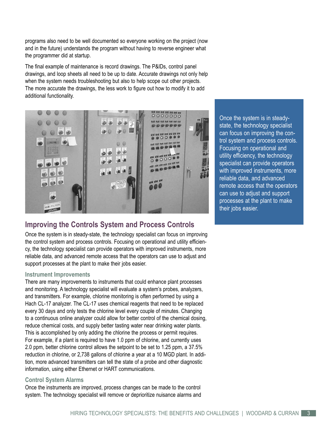programs also need to be well documented so everyone working on the project (now and in the future) understands the program without having to reverse engineer what the programmer did at startup.

The final example of maintenance is record drawings. The P&IDs, control panel drawings, and loop sheets all need to be up to date. Accurate drawings not only help when the system needs troubleshooting but also to help scope out other projects. The more accurate the drawings, the less work to figure out how to modify it to add additional functionality.



# **Improving the Controls System and Process Controls**

Once the system is in steady-state, the technology specialist can focus on improving the control system and process controls. Focusing on operational and utility efficiency, the technology specialist can provide operators with improved instruments, more reliable data, and advanced remote access that the operators can use to adjust and support processes at the plant to make their jobs easier.

#### **Instrument Improvements**

There are many improvements to instruments that could enhance plant processes and monitoring. A technology specialist will evaluate a system's probes, analyzers, and transmitters. For example, chlorine monitoring is often performed by using a Hach CL-17 analyzer. The CL-17 uses chemical reagents that need to be replaced every 30 days and only tests the chlorine level every couple of minutes. Changing to a continuous online analyzer could allow for better control of the chemical dosing, reduce chemical costs, and supply better tasting water near drinking water plants. This is accomplished by only adding the chlorine the process or permit requires. For example, if a plant is required to have 1.0 ppm of chlorine, and currently uses 2.0 ppm, better chlorine control allows the setpoint to be set to 1.25 ppm, a 37.5% reduction in chlorine, or 2,738 gallons of chlorine a year at a 10 MGD plant. In addition, more advanced transmitters can tell the state of a probe and other diagnostic information, using either Ethernet or HART communications.

#### **Control System Alarms**

Once the instruments are improved, process changes can be made to the control system. The technology specialist will remove or deprioritize nuisance alarms and Once the system is in steadystate, the technology specialist can focus on improving the control system and process controls. Focusing on operational and utility efficiency, the technology specialist can provide operators with improved instruments, more reliable data, and advanced remote access that the operators can use to adjust and support processes at the plant to make their jobs easier.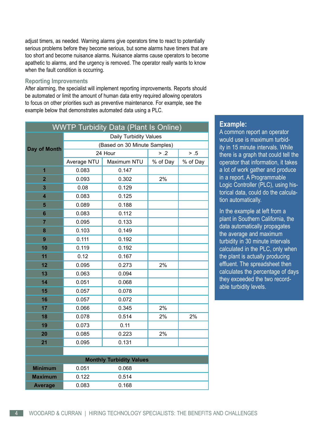adjust timers, as needed. Warning alarms give operators time to react to potentially serious problems before they become serious, but some alarms have timers that are too short and become nuisance alarms. Nuisance alarms cause operators to become apathetic to alarms, and the urgency is removed. The operator really wants to know when the fault condition is occurring.

#### **Reporting Improvements**

After alarming, the specialist will implement reporting improvements. Reports should be automated or limit the amount of human data entry required allowing operators to focus on other priorities such as preventive maintenance. For example, see the example below that demonstrates automated data using a PLC.

| <b>WWTP Turbidity Data (Plant Is Online)</b> |                               |             |          |          |
|----------------------------------------------|-------------------------------|-------------|----------|----------|
| Day of Month                                 | <b>Daily Turbidity Values</b> |             |          |          |
|                                              | (Based on 30 Minute Samples)  |             |          |          |
|                                              | 24 Hour                       |             | > .2     | $> .5$   |
|                                              | Average NTU                   | Maximum NTU | % of Day | % of Day |
| $\mathbf{1}$                                 | 0.083                         | 0.147       |          |          |
| $\overline{2}$                               | 0.093                         | 0.302       | 2%       |          |
| $\overline{\mathbf{3}}$                      | 0.08                          | 0.129       |          |          |
| $\overline{\mathbf{4}}$                      | 0.083                         | 0.125       |          |          |
| 5                                            | 0.089                         | 0.188       |          |          |
| $6\phantom{1}$                               | 0.083                         | 0.112       |          |          |
| $\overline{7}$                               | 0.095                         | 0.133       |          |          |
| 8                                            | 0.103                         | 0.149       |          |          |
| 9                                            | 0.111                         | 0.192       |          |          |
| 10                                           | 0.119                         | 0.192       |          |          |
| 11                                           | 0.12                          | 0.167       |          |          |
| 12                                           | 0.095                         | 0.273       | 2%       |          |
| 13                                           | 0.063                         | 0.094       |          |          |
| 14                                           | 0.051                         | 0.068       |          |          |
| 15                                           | 0.057                         | 0.078       |          |          |
| 16                                           | 0.057                         | 0.072       |          |          |
| 17                                           | 0.066                         | 0.345       | 2%       |          |
| 18                                           | 0.078                         | 0.514       | 2%       | 2%       |
| 19                                           | 0.073                         | 0.11        |          |          |
| 20                                           | 0.085                         | 0.223       | 2%       |          |
| 21                                           | 0.095                         | 0.131       |          |          |
|                                              |                               |             |          |          |
| <b>Monthly Turbidity Values</b>              |                               |             |          |          |
| <b>Minimum</b>                               | 0.051                         | 0.068       |          |          |
| <b>Maximum</b>                               | 0.122                         | 0.514       |          |          |
| <b>Average</b>                               | 0.083                         | 0.168       |          |          |

### **Example:**

A common report an operator would use is maximum turbidity in 15 minute intervals. While there is a graph that could tell the operator that information, it takes a lot of work gather and produce in a report. A Programmable Logic Controller (PLC), using historical data, could do the calculation automatically.

In the example at left from a plant in Southern California, the data automatically propagates the average and maximum turbidity in 30 minute intervals calculated in the PLC, only when the plant is actually producing effluent. The spreadsheet then calculates the percentage of days they exceeded the two recordable turbidity levels.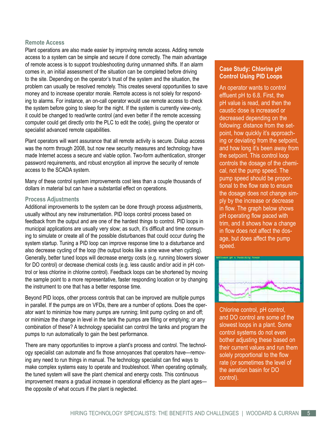#### **Remote Access**

Plant operations are also made easier by improving remote access. Adding remote access to a system can be simple and secure if done correctly. The main advantage of remote access is to support troubleshooting during unmanned shifts. If an alarm comes in, an initial assessment of the situation can be completed before driving to the site. Depending on the operator's trust of the system and the situation, the problem can usually be resolved remotely. This creates several opportunities to save money and to increase operator morale. Remote access is not solely for responding to alarms. For instance, an on-call operator would use remote access to check the system before going to sleep for the night. If the system is currently view-only, it could be changed to read/write control (and even better if the remote accessing computer could get directly onto the PLC to edit the code), giving the operator or specialist advanced remote capabilities.

Plant operators will want assurance that all remote activity is secure. Dialup access was the norm through 2008, but now new security measures and technology have made Internet access a secure and viable option. Two-form authentication, stronger password requirements, and robust encryption all improve the security of remote access to the SCADA system.

Many of these control system improvements cost less than a couple thousands of dollars in material but can have a substantial effect on operations.

#### **Process Adjustments**

Additional improvements to the system can be done through process adjustments, usually without any new instrumentation. PID loops control process based on feedback from the output and are one of the hardest things to control. PID loops in municipal applications are usually very slow; as such, it's difficult and time consuming to simulate or create all of the possible disturbances that could occur during the system startup. Tuning a PID loop can improve response time to a disturbance and also decrease cycling of the loop (the output looks like a sine wave when cycling). Generally, better tuned loops will decrease energy costs (e.g. running blowers slower for DO control) or decrease chemical costs (e.g. less caustic and/or acid in pH control or less chlorine in chlorine control). Feedback loops can be shortened by moving the sample point to a more representative, faster responding location or by changing the instrument to one that has a better response time.

Beyond PID loops, other process controls that can be improved are multiple pumps in parallel. If the pumps are on VFDs, there are a number of options. Does the operator want to minimize how many pumps are running; limit pump cycling on and off; or minimize the change in level in the tank the pumps are filling or emptying; or any combination of these? A technology specialist can control the tanks and program the pumps to run automatically to gain the best performance.

There are many opportunities to improve a plant's process and control. The technology specialist can automate and fix those annoyances that operators have—removing any need to run things in manual. The technology specialist can find ways to make complex systems easy to operate and troubleshoot. When operating optimally, the tuned system will save the plant chemical and energy costs. This continuous improvement means a gradual increase in operational efficiency as the plant ages the opposite of what occurs if the plant is neglected.

#### **Case Study: Chlorine pH Control Using PID Loops**

An operator wants to control effluent pH to 6.8. First, the pH value is read, and then the caustic dose is increased or decreased depending on the following: distance from the setpoint, how quickly it's approaching or deviating from the setpoint, and how long it's been away from the setpoint. This control loop controls the dosage of the chemical, not the pump speed. The pump speed should be proportional to the flow rate to ensure the dosage does not change simply by the increase or decrease in flow. The graph below shows pH operating flow paced with trim, and it shows how a change in flow does not affect the dosage, but does affect the pump speed.



Chlorine control, pH control, and DO control are some of the slowest loops in a plant. Some control systems do not even bother adjusting these based on their current values and run them solely proportional to the flow rate (or sometimes the level of the aeration basin for DO control).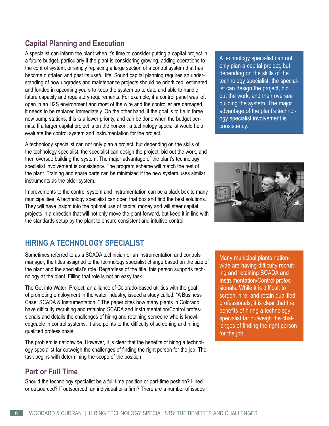# **Capital Planning and Execution**

A specialist can inform the plant when it's time to consider putting a capital project in a future budget, particularly if the plant is considering growing, adding operations to the control system, or simply replacing a large section of a control system that has become outdated and past its useful life. Sound capital planning requires an understanding of how upgrades and maintenance projects should be prioritized, estimated, and funded in upcoming years to keep the system up to date and able to handle future capacity and regulatory requirements. For example, if a control panel was left open in an H2S environment and most of the wire and the controller are damaged, it needs to be replaced immediately. On the other hand, if the goal is to tie in three new pump stations, this is a lower priority, and can be done when the budget permits. If a larger capital project is on the horizon, a technology specialist would help evaluate the control system and instrumentation for the project.

A technology specialist can not only plan a project, but depending on the skills of the technology specialist, the specialist can design the project, bid out the work, and then oversee building the system. The major advantage of the plant's technology specialist involvement is consistency. The program scheme will match the rest of the plant. Training and spare parts can be minimized if the new system uses similar instruments as the older system.

Improvements to the control system and instrumentation can be a black box to many municipalities. A technology specialist can open that box and find the best solutions. They will have insight into the optimal use of capital money and will steer capital projects in a direction that will not only move the plant forward, but keep it in line with the standards setup by the plant to ensure consistent and intuitive control.

# **HIRING A TECHNOLOGY SPECIALIST**

Sometimes referred to as a SCADA technician or an instrumentation and controls manager, the titles assigned to the technology specialist change based on the size of the plant and the specialist's role. Regardless of the title, this person supports technology at the plant. Filling that role is not an easy task.

The Get into Water! Project, an alliance of Colorado-based utilities with the goal of promoting employment in the water industry, issued a study called, "A Business Case: SCADA & Instrumentation ." The paper cites how many plants in Colorado have difficulty recruiting and retaining SCADA and Instrumentation/Control professionals and details the challenges of hiring and retaining someone who is knowledgeable in control systems. It also points to the difficulty of screening and hiring qualified professionals.

The problem is nationwide. However, it is clear that the benefits of hiring a technology specialist far outweigh the challenges of finding the right person for the job. The task begins with determining the scope of the position

# **Part or Full Time**

Should the technology specialist be a full-time position or part-time position? Hired or outsourced? If outsourced, an individual or a firm? There are a number of issues A technology specialist can not only plan a capital project, but depending on the skills of the technology specialist, the specialist can design the project, bid out the work, and then oversee building the system. The major advantage of the plant's technology specialist involvement is consistency.



Many municipal plants nationwide are having difficulty recruiting and retaining SCADA and Instrumentation/Control professionals. While it is difficult to screen, hire, and retain qualified professionals, it is clear that the benefits of hiring a technology specialist far outweigh the challenges of finding the right person for the job.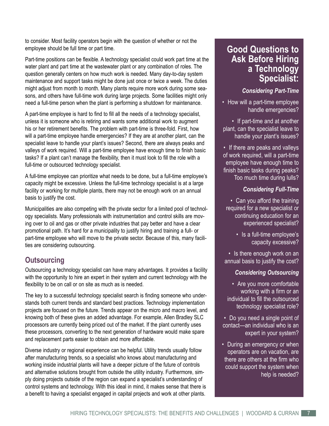to consider. Most facility operators begin with the question of whether or not the employee should be full time or part time.

Part-time positions can be flexible. A technology specialist could work part time at the water plant and part time at the wastewater plant or any combination of roles. The question generally centers on how much work is needed. Many day-to-day system maintenance and support tasks might be done just once or twice a week. The duties might adjust from month to month. Many plants require more work during some seasons, and others have full-time work during large projects. Some facilities might only need a full-time person when the plant is performing a shutdown for maintenance.

A part-time employee is hard to find to fill all the needs of a technology specialist, unless it is someone who is retiring and wants some additional work to augment his or her retirement benefits. The problem with part-time is three-fold. First, how will a part-time employee handle emergencies? If they are at another plant, can the specialist leave to handle your plant's issues? Second, there are always peaks and valleys of work required. Will a part-time employee have enough time to finish basic tasks? If a plant can't manage the flexibility, then it must look to fill the role with a full-time or outsourced technology specialist.

A full-time employee can prioritize what needs to be done, but a full-time employee's capacity might be excessive. Unless the full-time technology specialist is at a large facility or working for multiple plants, there may not be enough work on an annual basis to justify the cost.

Municipalities are also competing with the private sector for a limited pool of technology specialists. Many professionals with instrumentation and control skills are moving over to oil and gas or other private industries that pay better and have a clear promotional path. It's hard for a municipality to justify hiring and training a full- or part-time employee who will move to the private sector. Because of this, many facilities are considering outsourcing.

# **Outsourcing**

Outsourcing a technology specialist can have many advantages. It provides a facility with the opportunity to hire an expert in their system and current technology with the flexibility to be on call or on site as much as is needed.

The key to a successful technology specialist search is finding someone who understands both current trends and standard best practices. Technology implementation projects are focused on the future. Trends appear on the micro and macro level, and knowing both of these gives an added advantage. For example, Allen Bradley SLC processors are currently being priced out of the market. If the plant currently uses these processors, converting to the next generation of hardware would make spare and replacement parts easier to obtain and more affordable.

Diverse industry or regional experience can be helpful. Utility trends usually follow after manufacturing trends, so a specialist who knows about manufacturing and working inside industrial plants will have a deeper picture of the future of controls and alternative solutions brought from outside the utility industry. Furthermore, simply doing projects outside of the region can expand a specialist's understanding of control systems and technology. With this ideal in mind, it makes sense that there is a benefit to having a specialist engaged in capital projects and work at other plants.

# **Good Questions to Ask Before Hiring a Technology Specialist:**

## *Considering Part-Time*

• How will a part-time employee handle emergencies?

• If part-time and at another plant, can the specialist leave to handle your plant's issues?

• If there are peaks and valleys of work required, will a part-time employee have enough time to finish basic tasks during peaks? Too much time during lulls?

## *Considering Full-Time*

• Can you afford the training required for a new specialist or continuing education for an experienced specialist?

> • Is a full-time employee's capacity excessive?

• Is there enough work on an annual basis to justify the cost?

## *Considering Outsourcing*

• Are you more comfortable working with a firm or an individual to fill the outsourced technology specialist role?

• Do you need a single point of contact—an individual who is an expert in your system?

• During an emergency or when operators are on vacation, are there are others at the firm who could support the system when help is needed?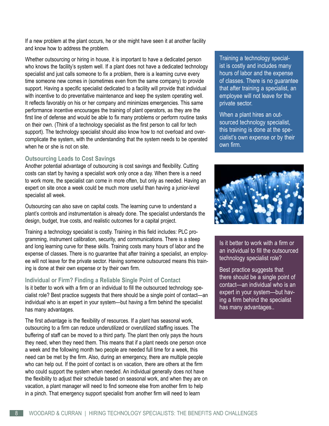If a new problem at the plant occurs, he or she might have seen it at another facility and know how to address the problem.

Whether outsourcing or hiring in house, it is important to have a dedicated person who knows the facility's system well. If a plant does not have a dedicated technology specialist and just calls someone to fix a problem, there is a learning curve every time someone new comes in (sometimes even from the same company) to provide support. Having a specific specialist dedicated to a facility will provide that individual with incentive to do preventative maintenance and keep the system operating well. It reflects favorably on his or her company and minimizes emergencies. This same performance incentive encourages the training of plant operators, as they are the first line of defense and would be able to fix many problems or perform routine tasks on their own. (Think of a technology specialist as the first person to call for tech support). The technology specialist should also know how to not overload and overcomplicate the system, with the understanding that the system needs to be operated when he or she is not on site.

#### **Outsourcing Leads to Cost Savings**

Another potential advantage of outsourcing is cost savings and flexibility. Cutting costs can start by having a specialist work only once a day. When there is a need to work more, the specialist can come in more often, but only as needed. Having an expert on site once a week could be much more useful than having a junior-level specialist all week.

Outsourcing can also save on capital costs. The learning curve to understand a plant's controls and instrumentation is already done. The specialist understands the design, budget, true costs, and realistic outcomes for a capital project.

Training a technology specialist is costly. Training in this field includes: PLC programming, instrument calibration, security, and communications. There is a steep and long learning curve for these skills. Training costs many hours of labor and the expense of classes. There is no guarantee that after training a specialist, an employee will not leave for the private sector. Having someone outsourced means this training is done at their own expense or by their own firm.

#### **Individual or Firm? Finding a Reliable Single Point of Contact**

Is it better to work with a firm or an individual to fill the outsourced technology specialist role? Best practice suggests that there should be a single point of contact—an individual who is an expert in your system—but having a firm behind the specialist has many advantages.

The first advantage is the flexibility of resources. If a plant has seasonal work, outsourcing to a firm can reduce underutilized or overutilized staffing issues. The buffering of staff can be moved to a third party. The plant then only pays the hours they need, when they need them. This means that if a plant needs one person once a week and the following month two people are needed full time for a week, this need can be met by the firm. Also, during an emergency, there are multiple people who can help out. If the point of contact is on vacation, there are others at the firm who could support the system when needed. An individual generally does not have the flexibility to adjust their schedule based on seasonal work, and when they are on vacation, a plant manager will need to find someone else from another firm to help in a pinch. That emergency support specialist from another firm will need to learn

Training a technology specialist is costly and includes many hours of labor and the expense of classes. There is no guarantee that after training a specialist, an employee will not leave for the private sector.

When a plant hires an outsourced technology specialist, this training is done at the specialist's own expense or by their own firm.



Is it better to work with a firm or an individual to fill the outsourced technology specialist role?

Best practice suggests that there should be a single point of contact—an individual who is an expert in your system—but having a firm behind the specialist has many advantages..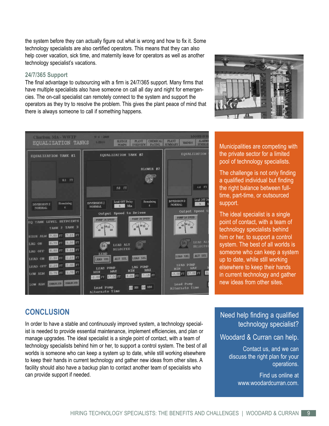the system before they can actually figure out what is wrong and how to fix it. Some technology specialists are also certified operators. This means that they can also help cover vacation, sick time, and maternity leave for operators as well as another technology specialist's vacations.

#### **24/7/365 Support**

The final advantage to outsourcing with a firm is 24/7/365 support. Many firms that have multiple specialists also have someone on call all day and night for emergencies. The on-call specialist can remotely connect to the system and support the operators as they try to resolve the problem. This gives the plant peace of mind that there is always someone to call if something happens.



hariton, MA - WWTP  $9/4/2009$  $\begin{tabular}{|c|c|c|c|c|} \hline {\bf PLANT} & {\bf CHEMICAL} & {\bf PLANT} & {\bf TRENDS} \\ \hline \textbf{OVERVEN} & \textbf{PACING} & \textbf{SUMMARY} & \textbf{TERDS} \\ \hline \end{tabular}$ **ALARM EQUALIZATION TANKS SLUDGE**<br>PUMPS **EQUALIZATION EQUALIZATION TANK #1 EQUALIZATION TANK #2 BLOWER #2** 8.1 FT  $4\bar{A}$  -FT 5.0 FT Lead OFF D  $\begin{array}{c} \text{DIVERSION 2}\\ \text{NORMAL} \end{array}$ Lead OFF Delay DIVERSION 2<br>NORMAL DIVERSION 2<br>NORMAL  $-4$ Remaining Min Output Speed 1 Output Speed to Drives PUMP 1A SPEED AP 2A SPEED TANK LEVEL SETPOINTS 45 50 55 TANK 2 TANK 3 HIGH ALM **CASO** FT **RACE** FT LEAD AL AG ON LEAD ALT **SELECTED** AG OFF LEAD SEL ALT SEL LEAD SEL 2,25 FI ALT SEL **LEAD ON** FAD SEI LEAD PUMP<br>MIN MAX 2.00 12 LEAD OFF PUMP<br>MAX MIN 1.75 FT MJA WO. OF FT READER 5 6.00 FT 7.15 FT 17.00 FT LOW ALM EHABLED EHABLED HE HH SO MM Lead Pump Alternate Time **Alternate** 

Municipalities are competing with the private sector for a limited pool of technology specialists.

The challenge is not only finding a qualified individual but finding the right balance between fulltime, part-time, or outsourced support.

The ideal specialist is a single point of contact, with a team of technology specialists behind him or her, to support a control system. The best of all worlds is someone who can keep a system up to date, while still working elsewhere to keep their hands in current technology and gather new ideas from other sites.

# **CONCLUSION**

In order to have a stable and continuously improved system, a technology specialist is needed to provide essential maintenance, implement efficiencies, and plan or manage upgrades. The ideal specialist is a single point of contact, with a team of technology specialists behind him or her, to support a control system. The best of all worlds is someone who can keep a system up to date, while still working elsewhere to keep their hands in current technology and gather new ideas from other sites. A facility should also have a backup plan to contact another team of specialists who can provide support if needed.

## Need help finding a qualified technology specialist?

## Woodard & Curran can help.

Contact us, and we can discuss the right plan for your operations.

> Find us online at www.woodardcurran.com.